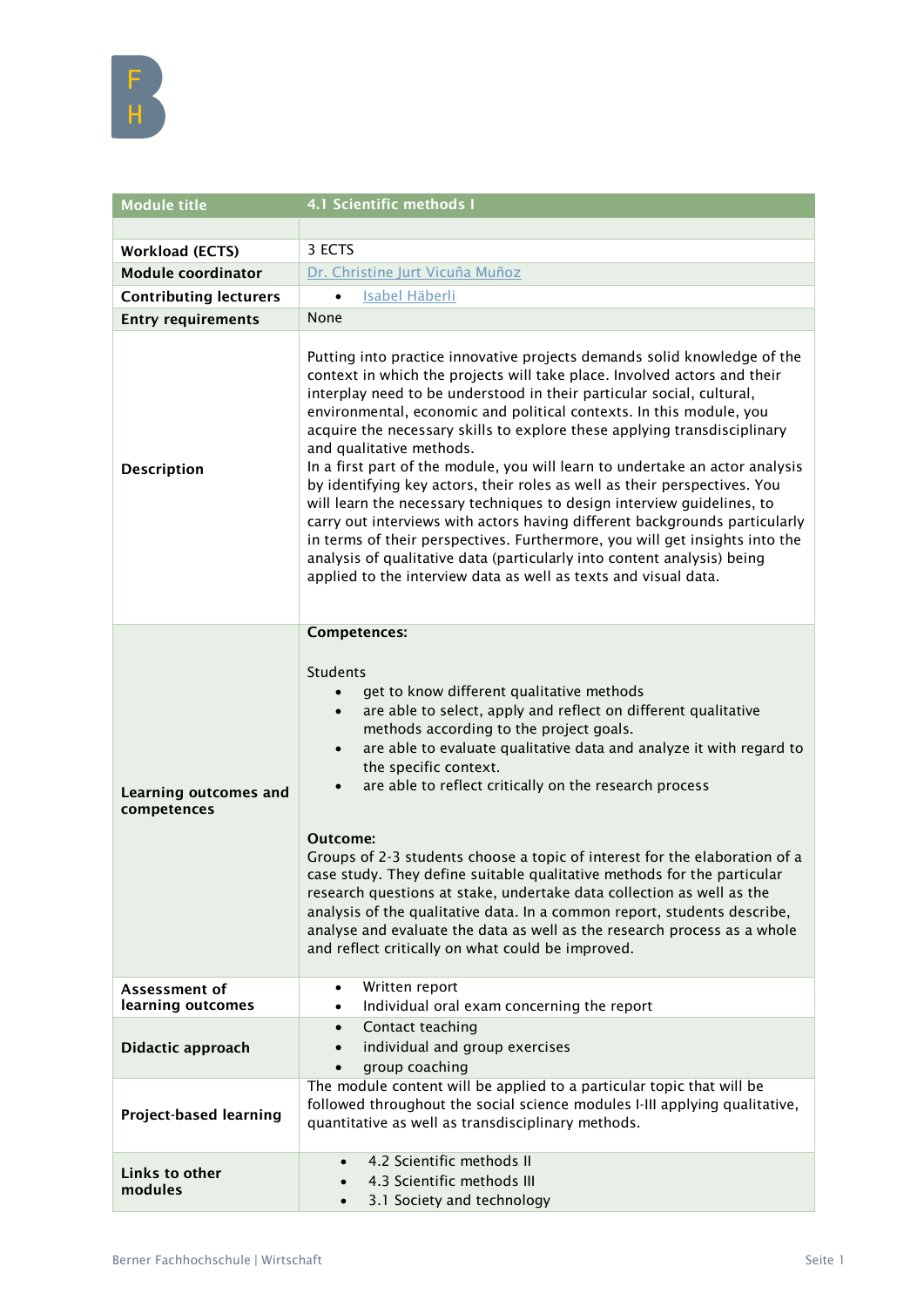

| <b>Module title</b>                         | 4.1 Scientific methods I                                                                                                                                                                                                                                                                                                                                                                                                                                                                                                                                                                                                                                                                                                                                                                                                                                                                                                                                       |
|---------------------------------------------|----------------------------------------------------------------------------------------------------------------------------------------------------------------------------------------------------------------------------------------------------------------------------------------------------------------------------------------------------------------------------------------------------------------------------------------------------------------------------------------------------------------------------------------------------------------------------------------------------------------------------------------------------------------------------------------------------------------------------------------------------------------------------------------------------------------------------------------------------------------------------------------------------------------------------------------------------------------|
|                                             |                                                                                                                                                                                                                                                                                                                                                                                                                                                                                                                                                                                                                                                                                                                                                                                                                                                                                                                                                                |
| <b>Workload (ECTS)</b>                      | 3 ECTS                                                                                                                                                                                                                                                                                                                                                                                                                                                                                                                                                                                                                                                                                                                                                                                                                                                                                                                                                         |
| <b>Module coordinator</b>                   | Dr. Christine Jurt Vicuña Muñoz                                                                                                                                                                                                                                                                                                                                                                                                                                                                                                                                                                                                                                                                                                                                                                                                                                                                                                                                |
| <b>Contributing lecturers</b>               | <b>Isabel Häberli</b><br>$\bullet$                                                                                                                                                                                                                                                                                                                                                                                                                                                                                                                                                                                                                                                                                                                                                                                                                                                                                                                             |
| <b>Entry requirements</b>                   | None                                                                                                                                                                                                                                                                                                                                                                                                                                                                                                                                                                                                                                                                                                                                                                                                                                                                                                                                                           |
| <b>Description</b>                          | Putting into practice innovative projects demands solid knowledge of the<br>context in which the projects will take place. Involved actors and their<br>interplay need to be understood in their particular social, cultural,<br>environmental, economic and political contexts. In this module, you<br>acquire the necessary skills to explore these applying transdisciplinary<br>and qualitative methods.<br>In a first part of the module, you will learn to undertake an actor analysis<br>by identifying key actors, their roles as well as their perspectives. You<br>will learn the necessary techniques to design interview guidelines, to<br>carry out interviews with actors having different backgrounds particularly<br>in terms of their perspectives. Furthermore, you will get insights into the<br>analysis of qualitative data (particularly into content analysis) being<br>applied to the interview data as well as texts and visual data. |
| <b>Learning outcomes and</b><br>competences | Competences:<br><b>Students</b><br>get to know different qualitative methods<br>$\bullet$<br>are able to select, apply and reflect on different qualitative<br>$\bullet$<br>methods according to the project goals.<br>are able to evaluate qualitative data and analyze it with regard to<br>$\bullet$<br>the specific context.<br>are able to reflect critically on the research process<br>Outcome:<br>Groups of 2-3 students choose a topic of interest for the elaboration of a<br>case study. They define suitable qualitative methods for the particular<br>research questions at stake, undertake data collection as well as the<br>analysis of the qualitative data. In a common report, students describe,<br>analyse and evaluate the data as well as the research process as a whole<br>and reflect critically on what could be improved.                                                                                                          |
| Assessment of                               | Written report<br>$\bullet$                                                                                                                                                                                                                                                                                                                                                                                                                                                                                                                                                                                                                                                                                                                                                                                                                                                                                                                                    |
| learning outcomes                           | Individual oral exam concerning the report<br>$\bullet$                                                                                                                                                                                                                                                                                                                                                                                                                                                                                                                                                                                                                                                                                                                                                                                                                                                                                                        |
| Didactic approach                           | Contact teaching<br>$\bullet$<br>individual and group exercises<br>group coaching                                                                                                                                                                                                                                                                                                                                                                                                                                                                                                                                                                                                                                                                                                                                                                                                                                                                              |
| Project-based learning                      | The module content will be applied to a particular topic that will be<br>followed throughout the social science modules I-III applying qualitative,<br>quantitative as well as transdisciplinary methods.                                                                                                                                                                                                                                                                                                                                                                                                                                                                                                                                                                                                                                                                                                                                                      |
| Links to other<br>modules                   | 4.2 Scientific methods II<br>4.3 Scientific methods III<br>3.1 Society and technology<br>$\bullet$                                                                                                                                                                                                                                                                                                                                                                                                                                                                                                                                                                                                                                                                                                                                                                                                                                                             |